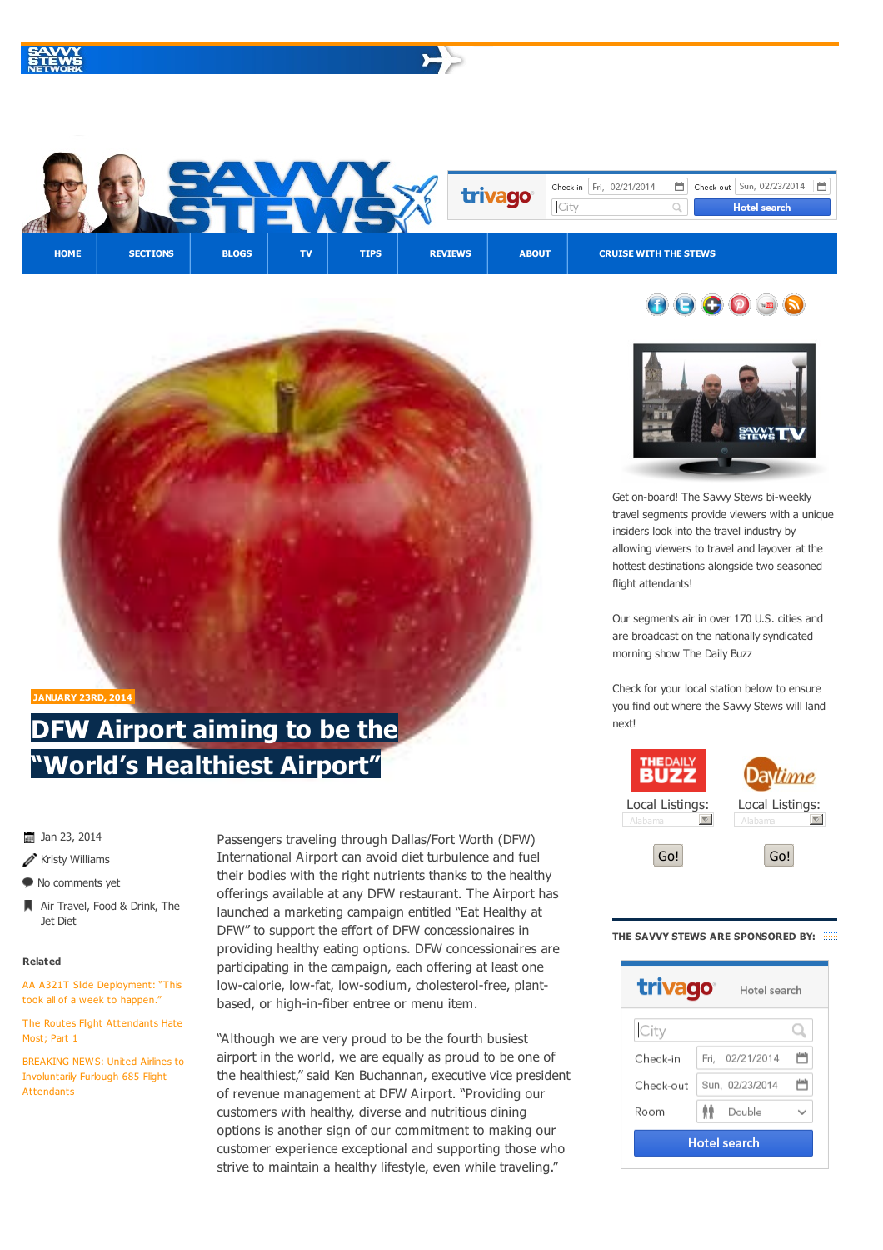







travel segments provide viewers with a unique insiders look into the travel industry by allowing viewers to travel and layover at the hottest destinations alongside two seasoned flight attendants!

Our segments air in over 170 U.S. cities and are broadcast on the nationally syndicated morning show The [Daily](http://thedbz.com) Buzz

Check for your local station below to ensure you find out where the Savvy Stews will land next!



## **THE SAVVY STEWS ARE SPONSORED BY:**





**JANUARY 23RD, 2014**

## **DFW Airport aiming to be the "World's [Healthiest](#page-1-0) Airport"**

 $\frac{1}{20}$  Jan 23, 2014

- $\mathscr X$  Kristy Williams
- $\bullet$  No [comments](#page-2-0) yet
- Air [Travel,](http://savvystews.com/category/features/the-jet-diet/) [Food](http://savvystews.com/category/sections/food-drink/) & Drink, The Jet Diet

## **Related**

AA A321T Slide [Deployment:](http://savvystews.com/2014/01/20/aa-a321t-slide-deployment-it-took-all-of-a-week-for-this-to-happen/) "This took all of a week to happen.'

The Routes Flight [Attendants](http://savvystews.com/2014/01/20/the-routes-flight-attendants-hate-most-part-1/) Hate Most; Part 1

BREAKING NEWS: United Airlines to [Involuntarily](http://savvystews.com/2014/01/15/breaking-news-united-airlines-to-involuntarly-furlough-700-flight-attendants/) Furlough 685 Flight Attendants

Passengers traveling through Dallas/Fort Worth (DFW) International Airport can avoid diet turbulence and fuel their bodies with the right nutrients thanks to the healthy offerings available at any DFW restaurant. The Airport has launched a marketing campaign entitled "Eat Healthy at DFW" to support the effort of DFW concessionaires in providing healthy eating options. DFW concessionaires are participating in the campaign, each offering at least one low-calorie, low-fat, low-sodium, cholesterol-free, plantbased, or high-in-fiber entree or menu item.

"Although we are very proud to be the fourth busiest airport in the world, we are equally as proud to be one of the healthiest," said Ken Buchannan, executive vice president of revenue management at DFW Airport. "Providing our customers with healthy, diverse and nutritious dining options is another sign of our commitment to making our customer experience exceptional and supporting those who strive to maintain a healthy lifestyle, even while traveling."